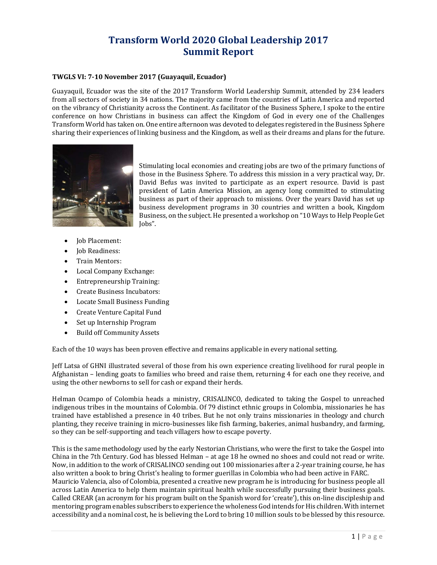# Transform World 2020 Global Leadership 2017 Summit Report

#### TWGLS VI: 7-10 November 2017 (Guayaquil, Ecuador)

Guayaquil, Ecuador was the site of the 2017 Transform World Leadership Summit, attended by 234 leaders from all sectors of society in 34 nations. The majority came from the countries of Latin America and reported on the vibrancy of Christianity across the Continent. As facilitator of the Business Sphere, I spoke to the entire conference on how Christians in business can affect the Kingdom of God in every one of the Challenges Transform World has taken on. One entire afternoon was devoted to delegates registered in the Business Sphere sharing their experiences of linking business and the Kingdom, as well as their dreams and plans for the future.



Stimulating local economies and creating jobs are two of the primary functions of those in the Business Sphere. To address this mission in a very practical way, Dr. David Befus was invited to participate as an expert resource. David is past president of Latin America Mission, an agency long committed to stimulating business as part of their approach to missions. Over the years David has set up business development programs in 30 countries and written a book, Kingdom Business, on the subject. He presented a workshop on "10 Ways to Help People Get Jobs".

- Job Placement:
- Job Readiness:
- Train Mentors:
- Local Company Exchange:
- Entrepreneurship Training:
- Create Business Incubators:
- Locate Small Business Funding
- Create Venture Capital Fund
- Set up Internship Program
- Build off Community Assets

Each of the 10 ways has been proven effective and remains applicable in every national setting.

Jeff Latsa of GHNI illustrated several of those from his own experience creating livelihood for rural people in Afghanistan – lending goats to families who breed and raise them, returning 4 for each one they receive, and using the other newborns to sell for cash or expand their herds.

Helman Ocampo of Colombia heads a ministry, CRISALINCO, dedicated to taking the Gospel to unreached indigenous tribes in the mountains of Colombia. Of 79 distinct ethnic groups in Colombia, missionaries he has trained have established a presence in 40 tribes. But he not only trains missionaries in theology and church planting, they receive training in micro-businesses like fish farming, bakeries, animal husbandry, and farming, so they can be self-supporting and teach villagers how to escape poverty.

l people in<br>eceive, and<br>unreached<br>ries he has<br>and church<br>nd farming,<br>Gospel into<br>id or write.<br>urse, he has<br>FARC.<br>s people all<br>iness goals.<br>bleship and<br>tih internet<br>is resource.<br>1 | P a g e This is the same methodology used by the early Nestorian Christians, who were the first to take the Gospel into China in the 7th Century. God has blessed Helman – at age 18 he owned no shoes and could not read or write. Now, in addition to the work of CRISALINCO sending out 100 missionaries after a 2-year training course, he has also written a book to bring Christ's healing to former guerillas in Colombia who had been active in FARC. Mauricio Valencia, also of Colombia, presented a creative new program he is introducing for business people all across Latin America to help them maintain spiritual health while successfully pursuing their business goals. Called CREAR (an acronym for his program built on the Spanish word for 'create'), this on-line discipleship and mentoring program enables subscribers to experience the wholeness God intends for His children. With internet accessibility and a nominal cost, he is believing the Lord to bring 10 million souls to be blessed by this resource.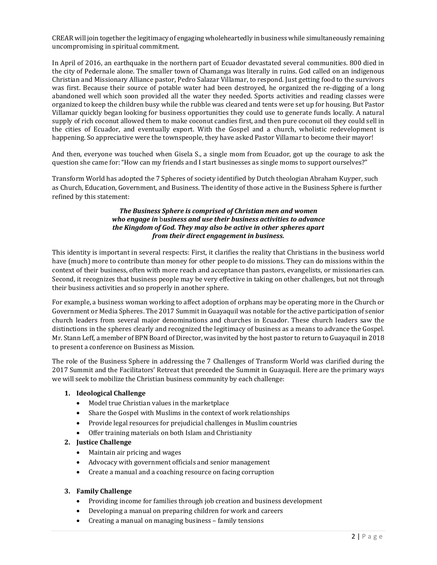CREAR will join together the legitimacy of engaging wholeheartedly in business while simultaneously remaining uncompromising in spiritual commitment.

In April of 2016, an earthquake in the northern part of Ecuador devastated several communities. 800 died in the city of Pedernale alone. The smaller town of Chamanga was literally in ruins. God called on an indigenous Christian and Missionary Alliance pastor, Pedro Salazar Villamar, to respond. Just getting food to the survivors was first. Because their source of potable water had been destroyed, he organized the re-digging of a long abandoned well which soon provided all the water they needed. Sports activities and reading classes were organized to keep the children busy while the rubble was cleared and tents were set up for housing. But Pastor Villamar quickly began looking for business opportunities they could use to generate funds locally. A natural supply of rich coconut allowed them to make coconut candies first, and then pure coconut oil they could sell in the cities of Ecuador, and eventually export. With the Gospel and a church, wholistic redevelopment is happening. So appreciative were the townspeople, they have asked Pastor Villamar to become their mayor!

And then, everyone was touched when Gisela S., a single mom from Ecuador, got up the courage to ask the question she came for: "How can my friends and I start businesses as single moms to support ourselves?"

Transform World has adopted the 7 Spheres of society identified by Dutch theologian Abraham Kuyper, such as Church, Education, Government, and Business. The identity of those active in the Business Sphere is further refined by this statement:

#### The Business Sphere is comprised of Christian men and women who engage in business and use their business activities to advance the Kingdom of God. They may also be active in other spheres apart from their direct engagement in business.

This identity is important in several respects: First, it clarifies the reality that Christians in the business world have (much) more to contribute than money for other people to do missions. They can do missions within the context of their business, often with more reach and acceptance than pastors, evangelists, or missionaries can. Second, it recognizes that business people may be very effective in taking on other challenges, but not through their business activities and so properly in another sphere.

For example, a business woman working to affect adoption of orphans may be operating more in the Church or Government or Media Spheres. The 2017 Summit in Guayaquil was notable for the active participation of senior church leaders from several major denominations and churches in Ecuador. These church leaders saw the distinctions in the spheres clearly and recognized the legitimacy of business as a means to advance the Gospel. Mr. Stann Leff, a member of BPN Board of Director, was invited by the host pastor to return to Guayaquil in 2018 to present a conference on Business as Mission.

The role of the Business Sphere in addressing the 7 Challenges of Transform World was clarified during the 2017 Summit and the Facilitators' Retreat that preceded the Summit in Guayaquil. Here are the primary ways we will seek to mobilize the Christian business community by each challenge:

#### 1. Ideological Challenge

- Model true Christian values in the marketplace
- Share the Gospel with Muslims in the context of work relationships
- Provide legal resources for prejudicial challenges in Muslim countries
- Offer training materials on both Islam and Christianity

#### 2. Justice Challenge

- Maintain air pricing and wages
- Advocacy with government officials and senior management
- Create a manual and a coaching resource on facing corruption

## 3. Family Challenge

- Providing income for families through job creation and business development
- Developing a manual on preparing children for work and careers
- Creating a manual on managing business family tensions